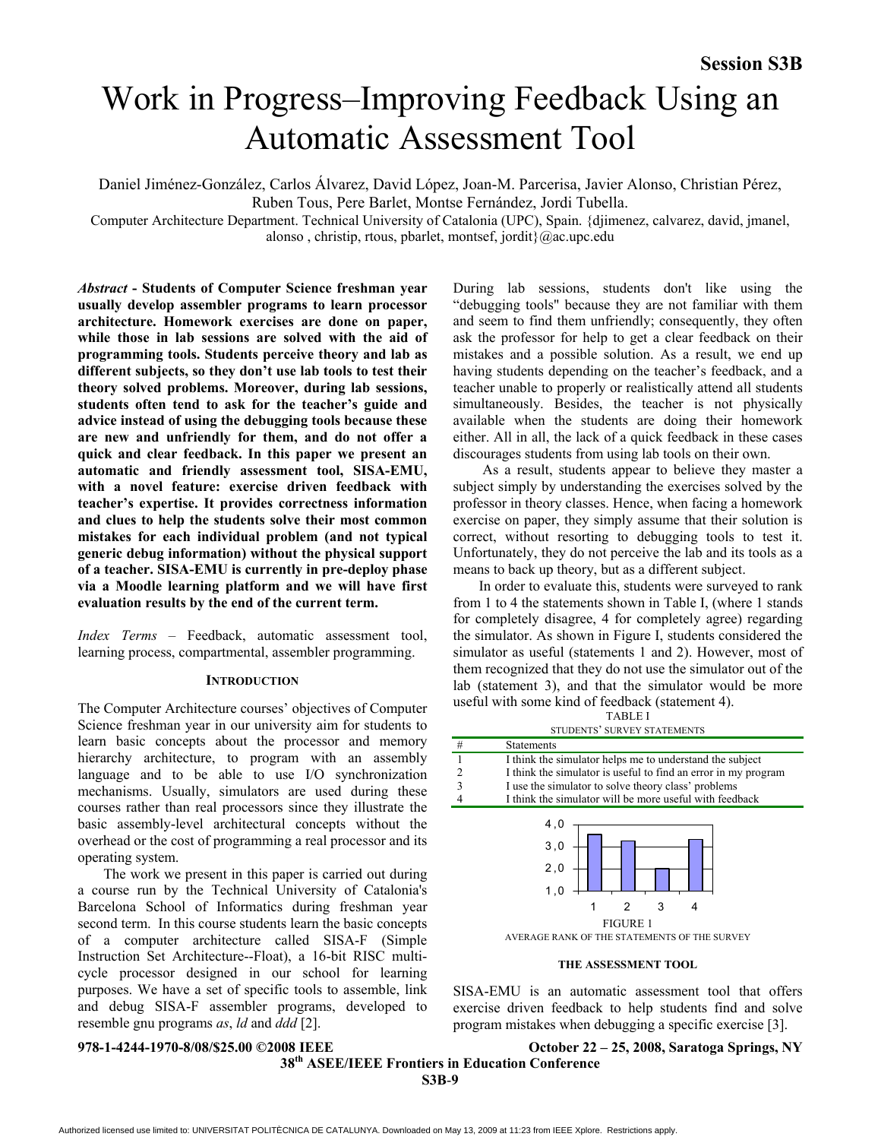# Work in Progress–Improving Feedback Using an Automatic Assessment Tool

Daniel Jiménez-González, Carlos Álvarez, David López, Joan-M. Parcerisa, Javier Alonso, Christian Pérez,

Ruben Tous, Pere Barlet, Montse Fernández, Jordi Tubella.

Computer Architecture Department. Technical University of Catalonia (UPC), Spain. {djimenez, calvarez, david, jmanel, alonso , christip, rtous, pbarlet, montsef, jordit}@ac.upc.edu

*Abstract* **- Students of Computer Science freshman year usually develop assembler programs to learn processor architecture. Homework exercises are done on paper, while those in lab sessions are solved with the aid of programming tools. Students perceive theory and lab as different subjects, so they don't use lab tools to test their theory solved problems. Moreover, during lab sessions, students often tend to ask for the teacher's guide and advice instead of using the debugging tools because these are new and unfriendly for them, and do not offer a quick and clear feedback. In this paper we present an automatic and friendly assessment tool, SISA-EMU, with a novel feature: exercise driven feedback with teacher's expertise. It provides correctness information and clues to help the students solve their most common mistakes for each individual problem (and not typical generic debug information) without the physical support of a teacher. SISA-EMU is currently in pre-deploy phase via a Moodle learning platform and we will have first evaluation results by the end of the current term.**

*Index Terms* – Feedback, automatic assessment tool, learning process, compartmental, assembler programming.

### **INTRODUCTION**

The Computer Architecture courses' objectives of Computer Science freshman year in our university aim for students to learn basic concepts about the processor and memory hierarchy architecture, to program with an assembly language and to be able to use I/O synchronization mechanisms. Usually, simulators are used during these courses rather than real processors since they illustrate the basic assembly-level architectural concepts without the overhead or the cost of programming a real processor and its operating system.

The work we present in this paper is carried out during a course run by the Technical University of Catalonia's Barcelona School of Informatics during freshman year second term. In this course students learn the basic concepts of a computer architecture called SISA-F (Simple Instruction Set Architecture--Float), a 16-bit RISC multicycle processor designed in our school for learning purposes. We have a set of specific tools to assemble, link and debug SISA-F assembler programs, developed to resemble gnu programs *as*, *ld* and *ddd* [2].

During lab sessions, students don't like using the "debugging tools" because they are not familiar with them and seem to find them unfriendly; consequently, they often ask the professor for help to get a clear feedback on their mistakes and a possible solution. As a result, we end up having students depending on the teacher's feedback, and a teacher unable to properly or realistically attend all students simultaneously. Besides, the teacher is not physically available when the students are doing their homework either. All in all, the lack of a quick feedback in these cases discourages students from using lab tools on their own.

 As a result, students appear to believe they master a subject simply by understanding the exercises solved by the professor in theory classes. Hence, when facing a homework exercise on paper, they simply assume that their solution is correct, without resorting to debugging tools to test it. Unfortunately, they do not perceive the lab and its tools as a means to back up theory, but as a different subject.

In order to evaluate this, students were surveyed to rank from 1 to 4 the statements shown in Table I, (where 1 stands for completely disagree, 4 for completely agree) regarding the simulator. As shown in Figure I, students considered the simulator as useful (statements 1 and 2). However, most of them recognized that they do not use the simulator out of the lab (statement 3), and that the simulator would be more useful with some kind of feedback (statement 4). TABLE I

STUDENTS' SURVEY STATEMENTS

|                | SIUDENIS SURVEI SIAIEMENIS                                                                            |
|----------------|-------------------------------------------------------------------------------------------------------|
| #              | <b>Statements</b>                                                                                     |
|                | I think the simulator helps me to understand the subject                                              |
| $\overline{2}$ | I think the simulator is useful to find an error in my program                                        |
| 3              | I use the simulator to solve theory class' problems                                                   |
|                | I think the simulator will be more useful with feedback                                               |
|                | 4,0<br>3,0<br>2,0<br>1,0<br>3<br>2<br><b>FIGURE 1</b><br>AVERAGE RANK OF THE STATEMENTS OF THE SURVEY |

**THE ASSESSMENT TOOL**

SISA-EMU is an automatic assessment tool that offers exercise driven feedback to help students find and solve program mistakes when debugging a specific exercise [3].

**978-1-4244-1970-8/08/\$25.00 ©2008 IEEE October 22 – 25, 2008, Saratoga Springs, NY** 

 **38th ASEE/IEEE Frontiers in Education Conference S3B**-**9**